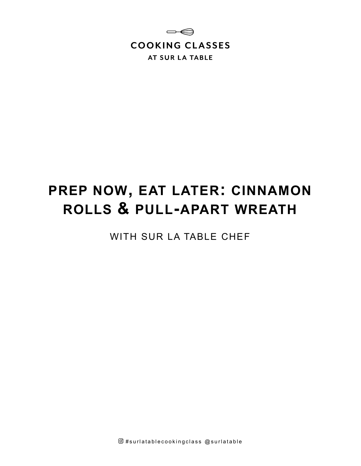

# **PREP NOW, EAT LATER: CINNAMON ROLLS & PULL-APART WREATH**

WITH SUR LA TABLE CHEF

 $@$ #surlatablecookingclass  $@$ surlatable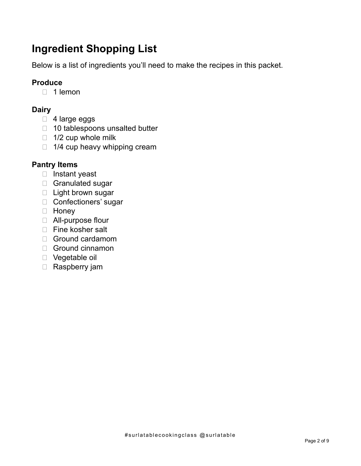# **Ingredient Shopping List**

Below is a list of ingredients you'll need to make the recipes in this packet.

# **Produce**

 $\Box$  1 lemon

# **Dairy**

- □ 4 large eggs
- 10 tablespoons unsalted butter
- $\Box$  1/2 cup whole milk
- $\Box$  1/4 cup heavy whipping cream

# **Pantry Items**

- □ Instant yeast
- □ Granulated sugar
- □ Light brown sugar
- □ Confectioners' sugar
- Honey
- All-purpose flour
- □ Fine kosher salt
- □ Ground cardamom
- Ground cinnamon
- Vegetable oil
- Raspberry jam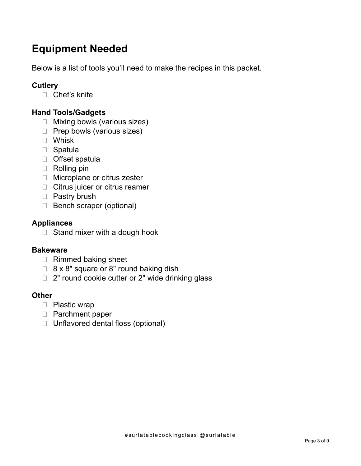# **Equipment Needed**

Below is a list of tools you'll need to make the recipes in this packet.

# **Cutlery**

□ Chef's knife

# **Hand Tools/Gadgets**

- □ Mixing bowls (various sizes)
- $\Box$  Prep bowls (various sizes)
- Whisk
- □ Spatula
- Offset spatula
- Rolling pin
- □ Microplane or citrus zester
- □ Citrus juicer or citrus reamer
- □ Pastry brush
- Bench scraper (optional)

## **Appliances**

 $\Box$  Stand mixer with a dough hook

## **Bakeware**

- $\Box$  Rimmed baking sheet
- $\Box$  8 x 8" square or 8" round baking dish
- $\Box$  2" round cookie cutter or 2" wide drinking glass

## **Other**

- D Plastic wrap
- □ Parchment paper
- □ Unflavored dental floss (optional)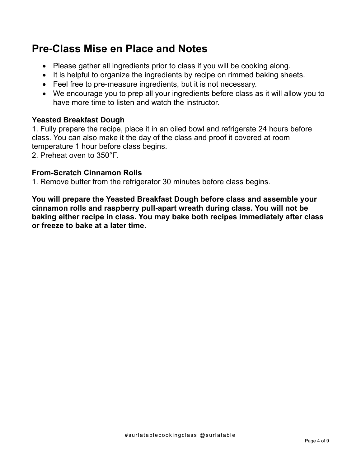# **Pre-Class Mise en Place and Notes**

- Please gather all ingredients prior to class if you will be cooking along.
- It is helpful to organize the ingredients by recipe on rimmed baking sheets.
- Feel free to pre-measure ingredients, but it is not necessary.
- We encourage you to prep all your ingredients before class as it will allow you to have more time to listen and watch the instructor.

# **Yeasted Breakfast Dough**

1. Fully prepare the recipe, place it in an oiled bowl and refrigerate 24 hours before class. You can also make it the day of the class and proof it covered at room temperature 1 hour before class begins.

2. Preheat oven to 350°F.

# **From-Scratch Cinnamon Rolls**

1. Remove butter from the refrigerator 30 minutes before class begins.

**You will prepare the Yeasted Breakfast Dough before class and assemble your cinnamon rolls and raspberry pull-apart wreath during class. You will not be baking either recipe in class. You may bake both recipes immediately after class or freeze to bake at a later time.**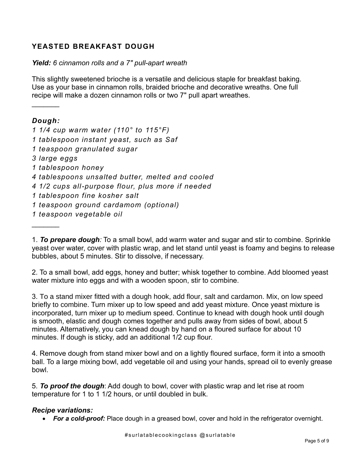## **YEASTED BREAKFAST DOUGH**

#### *Yield: 6 cinnamon rolls and a 7" pull-apart wreath*

This slightly sweetened brioche is a versatile and delicious staple for breakfast baking. Use as your base in cinnamon rolls, braided brioche and decorative wreaths. One full recipe will make a dozen cinnamon rolls or two 7" pull apart wreathes.

#### *Dough:*

 $\frac{1}{2}$ 

*1 1/4 cup warm water (110° to 115°F) 1 tablespoon instant yeast, such as Saf 1 teaspoon granulated sugar 3 large eggs 1 tablespoon honey 4 tablespoons unsalted butter, melted and cooled 4 1/2 cups all-purpose flour, plus more if needed 1 tablespoon fine kosher salt 1 teaspoon ground cardamom (optional) 1 teaspoon vegetable oil*  $\frac{1}{2}$ 

1. *To prepare dough:* To a small bowl, add warm water and sugar and stir to combine. Sprinkle yeast over water, cover with plastic wrap, and let stand until yeast is foamy and begins to release bubbles, about 5 minutes. Stir to dissolve, if necessary.

2. To a small bowl, add eggs, honey and butter; whisk together to combine. Add bloomed yeast water mixture into eggs and with a wooden spoon, stir to combine.

3. To a stand mixer fitted with a dough hook, add flour, salt and cardamon. Mix, on low speed briefly to combine. Turn mixer up to low speed and add yeast mixture. Once yeast mixture is incorporated, turn mixer up to medium speed. Continue to knead with dough hook until dough is smooth, elastic and dough comes together and pulls away from sides of bowl, about 5 minutes. Alternatively, you can knead dough by hand on a floured surface for about 10 minutes. If dough is sticky, add an additional 1/2 cup flour.

4. Remove dough from stand mixer bowl and on a lightly floured surface, form it into a smooth ball. To a large mixing bowl, add vegetable oil and using your hands, spread oil to evenly grease bowl.

5. *To proof the dough*: Add dough to bowl, cover with plastic wrap and let rise at room temperature for 1 to 1 1/2 hours, or until doubled in bulk.

#### *Recipe variations:*

• *For a cold-proof:* Place dough in a greased bowl, cover and hold in the refrigerator overnight.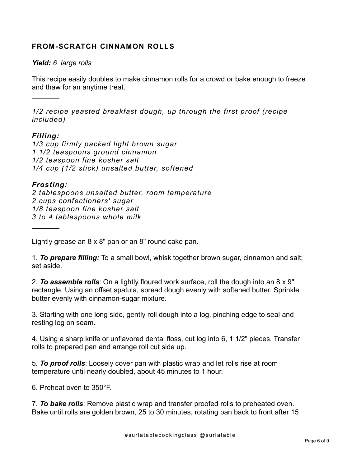#### **FROM-SCRATCH CINNAMON ROLLS**

#### *Yield: 6 large rolls*

This recipe easily doubles to make cinnamon rolls for a crowd or bake enough to freeze and thaw for an anytime treat.

*1/2 recipe yeasted breakfast dough, up through the first proof (recipe included)*

#### *Filling:*

 $\frac{1}{2}$ 

*1/3 cup firmly packed light brown sugar 1 1/2 teaspoons ground cinnamon 1/2 teaspoon fine kosher salt 1/4 cup (1/2 stick) unsalted butter, softened*

#### *Frosting:*

*2 tablespoons unsalted butter, room temperature 2 cups confectioners' sugar 1/8 teaspoon fine kosher salt 3 to 4 tablespoons whole milk*  $\frac{1}{2}$ 

Lightly grease an 8 x 8" pan or an 8" round cake pan.

1. *To prepare filling:* To a small bowl, whisk together brown sugar, cinnamon and salt; set aside.

2. *To assemble rolls*: On a lightly floured work surface, roll the dough into an 8 x 9" rectangle. Using an offset spatula, spread dough evenly with softened butter. Sprinkle butter evenly with cinnamon-sugar mixture.

3. Starting with one long side, gently roll dough into a log, pinching edge to seal and resting log on seam.

4. Using a sharp knife or unflavored dental floss, cut log into 6, 1 1/2" pieces. Transfer rolls to prepared pan and arrange roll cut side up.

5. *To proof rolls*: Loosely cover pan with plastic wrap and let rolls rise at room temperature until nearly doubled, about 45 minutes to 1 hour.

6. Preheat oven to 350°F.

7. *To bake rolls*: Remove plastic wrap and transfer proofed rolls to preheated oven. Bake until rolls are golden brown, 25 to 30 minutes, rotating pan back to front after 15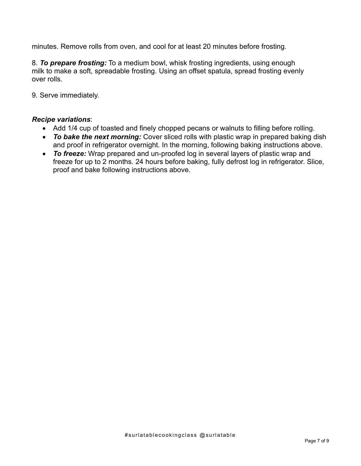minutes. Remove rolls from oven, and cool for at least 20 minutes before frosting.

8. *To prepare frosting:* To a medium bowl, whisk frosting ingredients, using enough milk to make a soft, spreadable frosting. Using an offset spatula, spread frosting evenly over rolls.

9. Serve immediately.

#### *Recipe variations*:

- Add 1/4 cup of toasted and finely chopped pecans or walnuts to filling before rolling.
- *To bake the next morning:* Cover sliced rolls with plastic wrap in prepared baking dish and proof in refrigerator overnight. In the morning, following baking instructions above.
- *To freeze:* Wrap prepared and un-proofed log in several layers of plastic wrap and freeze for up to 2 months. 24 hours before baking, fully defrost log in refrigerator. Slice, proof and bake following instructions above.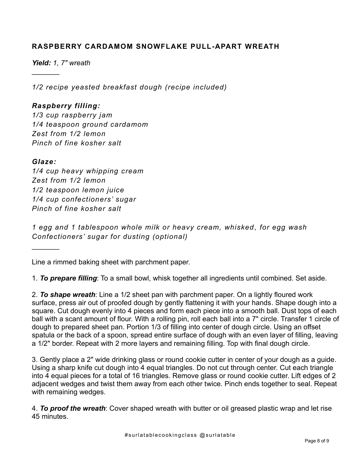#### **RASPBERRY CARDAMOM SNOWFLAKE PULL-APART WREATH**

*Yield: 1, 7" wreath*

 $\frac{1}{2}$ 

*1/2 recipe yeasted breakfast dough (recipe included)*

#### *Raspberry filling:*

*1/3 cup raspberry jam 1/4 teaspoon ground cardamom Zest from 1/2 lemon Pinch of fine kosher salt*

#### *Glaze:*

 $\frac{1}{2}$ 

*1/4 cup heavy whipping cream Zest from 1/2 lemon 1/2 teaspoon lemon juice 1/4 cup confectioners' sugar Pinch of fine kosher salt*

*1 egg and 1 tablespoon whole milk or heavy cream, whisked , for egg wash Confectioners' sugar for dusting (optional)*

Line a rimmed baking sheet with parchment paper.

1. *To prepare filling*: To a small bowl, whisk together all ingredients until combined. Set aside.

2. *To shape wreath*: Line a 1/2 sheet pan with parchment paper. On a lightly floured work surface, press air out of proofed dough by gently flattening it with your hands. Shape dough into a square. Cut dough evenly into 4 pieces and form each piece into a smooth ball. Dust tops of each ball with a scant amount of flour. With a rolling pin, roll each ball into a 7" circle. Transfer 1 circle of dough to prepared sheet pan. Portion 1/3 of filling into center of dough circle. Using an offset spatula or the back of a spoon, spread entire surface of dough with an even layer of filling, leaving a 1/2" border. Repeat with 2 more layers and remaining filling. Top with final dough circle.

3. Gently place a 2" wide drinking glass or round cookie cutter in center of your dough as a guide. Using a sharp knife cut dough into 4 equal triangles. Do not cut through center. Cut each triangle into 4 equal pieces for a total of 16 triangles. Remove glass or round cookie cutter. Lift edges of 2 adjacent wedges and twist them away from each other twice. Pinch ends together to seal. Repeat with remaining wedges.

4. *To proof the wreath*: Cover shaped wreath with butter or oil greased plastic wrap and let rise 45 minutes.